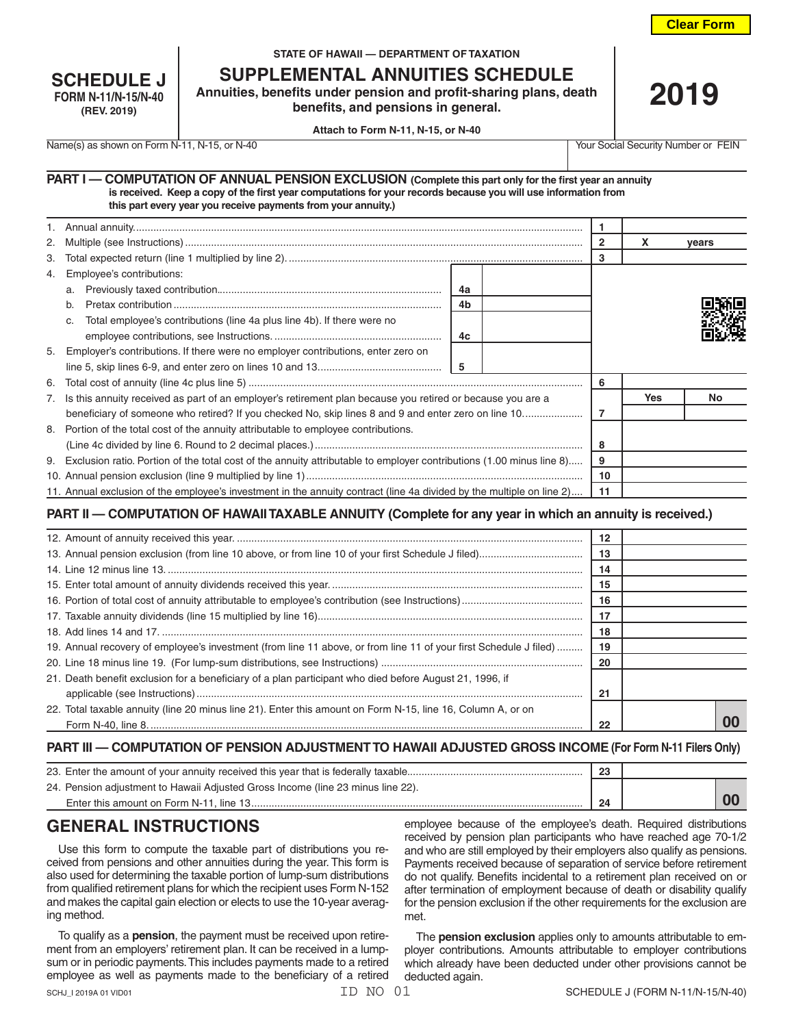**Clear Form**

| <b>SCHEDULE J</b>          |
|----------------------------|
| <b>FORM N-11/N-15/N-40</b> |
| (REV. 2019)                |

#### **STATE OF HAWAII — DEPARTMENT OF TAXATION**

**SUPPLEMENTAL ANNUITIES SCHEDULE**

**Annuities, benefits under pension and profit-sharing plans, death benefits, and pensions in general.**

**2019**

**Attach to Form N-11, N-15, or N-40**

Name(s) as shown on Form N-11, N-15, or N-40 Your Social Security Number or FEIN

| PART I - COMPUTATION OF ANNUAL PENSION EXCLUSION (Complete this part only for the first year an annuity        |  |
|----------------------------------------------------------------------------------------------------------------|--|
| is received. Keep a copy of the first year computations for your records because you will use information from |  |
| this part every year you receive payments from your annuity.)                                                  |  |

| 2. |                                                                                                                         |    | 2 | x  | vears      |     |  |
|----|-------------------------------------------------------------------------------------------------------------------------|----|---|----|------------|-----|--|
| 3. |                                                                                                                         |    |   | 3  |            |     |  |
| 4. | Employee's contributions:                                                                                               |    |   |    |            |     |  |
|    | a.                                                                                                                      | 4a |   |    |            |     |  |
|    | b.                                                                                                                      | 4b |   |    |            |     |  |
|    | Total employee's contributions (line 4a plus line 4b). If there were no<br>C.                                           |    |   |    |            |     |  |
|    |                                                                                                                         | 4c |   |    |            |     |  |
|    | 5. Employer's contributions. If there were no employer contributions, enter zero on                                     |    |   |    |            |     |  |
|    |                                                                                                                         | -5 |   |    |            |     |  |
|    |                                                                                                                         |    |   | 6  |            |     |  |
|    | 7. Is this annuity received as part of an employer's retirement plan because you retired or because you are a           |    |   |    | <b>Yes</b> | No. |  |
|    | beneficiary of someone who retired? If you checked No, skip lines 8 and 9 and enter zero on line 10                     |    |   | 7  |            |     |  |
|    | 8. Portion of the total cost of the annuity attributable to employee contributions.                                     |    |   |    |            |     |  |
|    |                                                                                                                         |    |   | 8  |            |     |  |
|    | 9. Exclusion ratio. Portion of the total cost of the annuity attributable to employer contributions (1.00 minus line 8) |    |   | 9  |            |     |  |
|    |                                                                                                                         |    |   | 10 |            |     |  |
|    | 11. Annual exclusion of the employee's investment in the annuity contract (line 4a divided by the multiple on line 2)   |    |   | 11 |            |     |  |

## **PART II — COMPUTATION OF HAWAII TAXABLE ANNUITY (Complete for any year in which an annuity is received.)**

|                                                                                                                   | 12 |    |
|-------------------------------------------------------------------------------------------------------------------|----|----|
|                                                                                                                   | 13 |    |
|                                                                                                                   | 14 |    |
|                                                                                                                   | 15 |    |
|                                                                                                                   | 16 |    |
|                                                                                                                   | 17 |    |
|                                                                                                                   | 18 |    |
| 19. Annual recovery of employee's investment (from line 11 above, or from line 11 of your first Schedule J filed) | 19 |    |
|                                                                                                                   | 20 |    |
| 21. Death benefit exclusion for a beneficiary of a plan participant who died before August 21, 1996, if           |    |    |
|                                                                                                                   | 21 |    |
| 22. Total taxable annuity (line 20 minus line 21). Enter this amount on Form N-15, line 16, Column A, or on       |    |    |
|                                                                                                                   | 22 | 00 |

#### **PART III — COMPUTATION OF PENSION ADJUSTMENT TO HAWAII ADJUSTED GROSS INCOME (For Form N-11 Filers Only)**

| 23. Enter the amount of your annuity received this year that is federally taxable | 23 |  |
|-----------------------------------------------------------------------------------|----|--|
| 24. Pension adjustment to Hawaii Adjusted Gross Income (line 23 minus line 22).   |    |  |
|                                                                                   | 24 |  |

# **GENERAL INSTRUCTIONS**

Use this form to compute the taxable part of distributions you received from pensions and other annuities during the year. This form is also used for determining the taxable portion of lump-sum distributions from qualified retirement plans for which the recipient uses Form N-152 and makes the capital gain election or elects to use the 10-year averaging method.

To qualify as a **pension**, the payment must be received upon retirement from an employers' retirement plan. It can be received in a lumpsum or in periodic payments. This includes payments made to a retired employee as well as payments made to the beneficiary of a retired

employee because of the employee's death. Required distributions received by pension plan participants who have reached age 70-1/2 and who are still employed by their employers also qualify as pensions. Payments received because of separation of service before retirement do not qualify. Benefits incidental to a retirement plan received on or after termination of employment because of death or disability qualify for the pension exclusion if the other requirements for the exclusion are met.

The **pension exclusion** applies only to amounts attributable to employer contributions. Amounts attributable to employer contributions which already have been deducted under other provisions cannot be deducted again.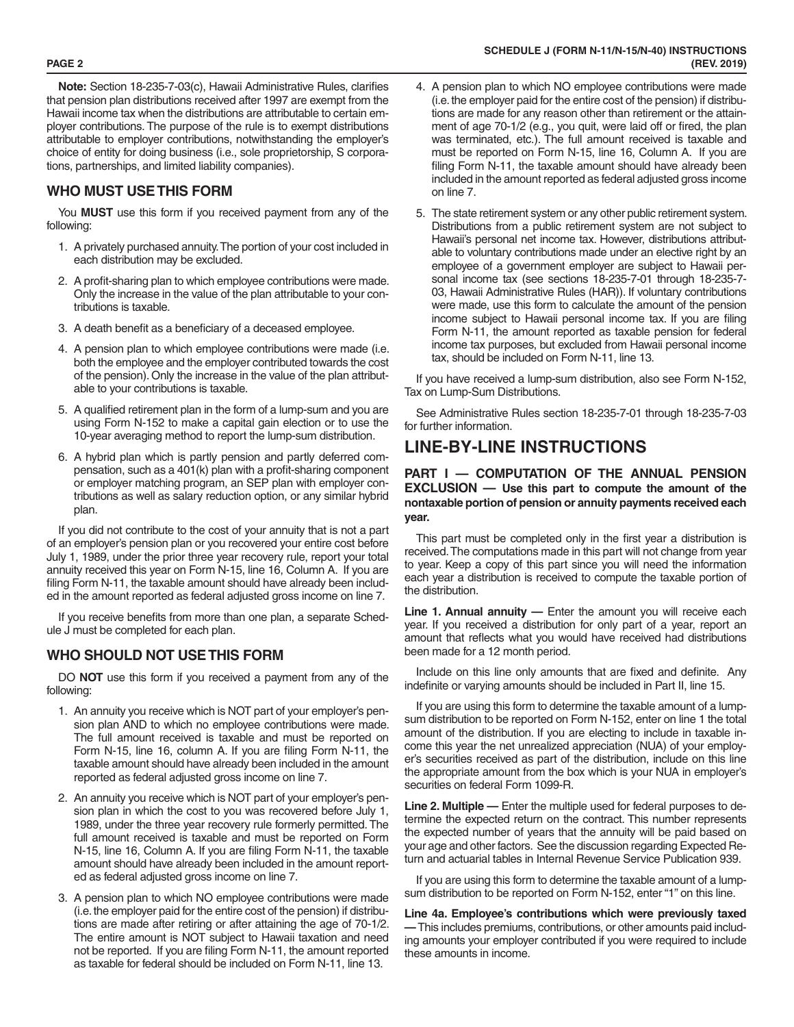**Note:** Section 18-235-7-03(c), Hawaii Administrative Rules, clarifies that pension plan distributions received after 1997 are exempt from the Hawaii income tax when the distributions are attributable to certain em ployer contributions. The purpose of the rule is to exempt distributions attributable to employer contributions, notwithstanding the employer's choice of entity for doing business (i.e., sole proprietorship, S corpora tions, partnerships, and limited liability companies).

## **WHO MUST USE THIS FORM**

You **MUST** use this form if you received payment from any of the following:

- 1. A privately purchased annuity. The portion of your cost included in each distribution may be excluded.
- 2. A profit-sharing plan to which employee contributions were made. Only the increase in the value of the plan attributable to your con tributions is taxable.
- 3. A death benefit as a beneficiary of a deceased employee.
- 4. A pension plan to which employee contributions were made (i.e. both the employee and the employer contributed towards the cost of the pension). Only the increase in the value of the plan attribut able to your contributions is taxable.
- 5. A qualified retirement plan in the form of a lump-sum and you are using Form N-152 to make a capital gain election or to use the 10-year averaging method to report the lump-sum distribution.
- 6. A hybrid plan which is partly pension and partly deferred com pensation, such as a 401(k) plan with a profit-sharing component or employer matching program, an SEP plan with employer con tributions as well as salary reduction option, or any similar hybrid plan.

If you did not contribute to the cost of your annuity that is not a part of an employer's pension plan or you recovered your entire cost before July 1, 1989, under the prior three year recovery rule, report your total annuity received this year on Form N-15, line 16, Column A. If you are filing Form N-11, the taxable amount should have already been includ ed in the amount reported as federal adjusted gross income on line 7.

If you receive benefits from more than one plan, a separate Sched ule J must be completed for each plan.

### **WHO SHOULD NOT USE THIS FORM**

DO **NOT** use this form if you received a payment from any of the following:

- 1. An annuity you receive which is NOT part of your employer's pen sion plan AND to which no employee contributions were made. The full amount received is taxable and must be reported on Form N-15, line 16, column A. If you are filing Form N-11, the taxable amount should have already been included in the amount reported as federal adjusted gross income on line 7.
- 2. An annuity you receive which is NOT part of your employer's pen sion plan in which the cost to you was recovered before July 1, 1989, under the three year recovery rule formerly permitted. The full amount received is taxable and must be reported on Form N-15, line 16, Column A. If you are filing Form N-11, the taxable amount should have already been included in the amount report ed as federal adjusted gross income on line 7.
- 3. A pension plan to which NO employee contributions were made (i.e. the employer paid for the entire cost of the pension) if distribu tions are made after retiring or after attaining the age of 70-1/2. The entire amount is NOT subject to Hawaii taxation and need not be reported. If you are filing Form N-11, the amount reported as taxable for federal should be included on Form N-11, line 13.
- 4. A pension plan to which NO employee contributions were made (i.e. the employer paid for the entire cost of the pension) if distribu tions are made for any reason other than retirement or the attain ment of age 70-1/2 (e.g., you quit, were laid off or fired, the plan was terminated, etc.). The full amount received is taxable and must be reported on Form N-15, line 16, Column A. If you are filing Form N-11, the taxable amount should have already been included in the amount reported as federal adjusted gross income on line 7.
- 5. The state retirement system or any other public retirement system. Distributions from a public retirement system are not subject to Hawaii's personal net income tax. However, distributions attribut able to voluntary contributions made under an elective right by an employee of a government employer are subject to Hawaii per sonal income tax (see sections 18-235-7-01 through 18-235-7- 03, Hawaii Administrative Rules (HAR)). If voluntary contributions were made, use this form to calculate the amount of the pension income subject to Hawaii personal income tax. If you are filing Form N-11, the amount reported as taxable pension for federal income tax purposes, but excluded from Hawaii personal income tax, should be included on Form N-11, line 13.

If you have received a lump-sum distribution, also see Form N-152, Tax on Lump-Sum Distributions.

See Administrative Rules section 18-235-7-01 through 18-235-7-03 for further information.

## **LINE-BY-LINE INSTRUCTIONS**

#### **PART I — COMPUTATION OF THE ANNUAL PENSION EXCLUSION — Use this part to compute the amount of the nontaxable portion of pension or annuity payments received each year.**

This part must be completed only in the first year a distribution is received. The computations made in this part will not change from year to year. Keep a copy of this part since you will need the information each year a distribution is received to compute the taxable portion of the distribution.

**Line 1. Annual annuity —** Enter the amount you will receive each year. If you received a distribution for only part of a year, report an amount that reflects what you would have received had distributions been made for a 12 month period.

Include on this line only amounts that are fixed and definite. Any indefinite or varying amounts should be included in Part II, line 15.

If you are using this form to determine the taxable amount of a lumpsum distribution to be reported on Form N-152, enter on line 1 the total amount of the distribution. If you are electing to include in taxable in come this year the net unrealized appreciation (NUA) of your employ er's securities received as part of the distribution, include on this line the appropriate amount from the box which is your NUA in employer's securities on federal Form 1099-R.

**Line 2. Multiple —** Enter the multiple used for federal purposes to de termine the expected return on the contract. This number represents the expected number of years that the annuity will be paid based on your age and other factors. See the discussion regarding Expected Re turn and actuarial tables in Internal Revenue Service Publication 939.

If you are using this form to determine the taxable amount of a lumpsum distribution to be reported on Form N-152, enter "1" on this line.

**Line 4a. Employee's contributions which were previously taxed —** This includes premiums, contributions, or other amounts paid including amounts your employer contributed if you were required to include these amounts in income.